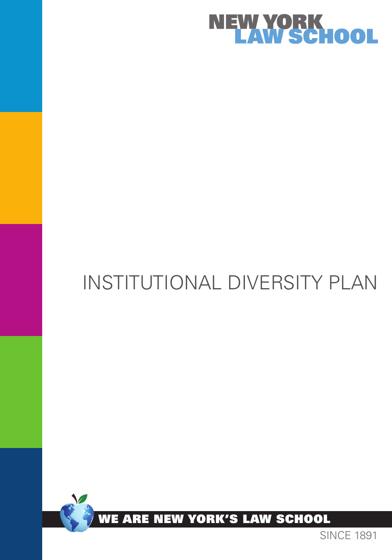

# Institutional Diversity Plan



SINCE 1891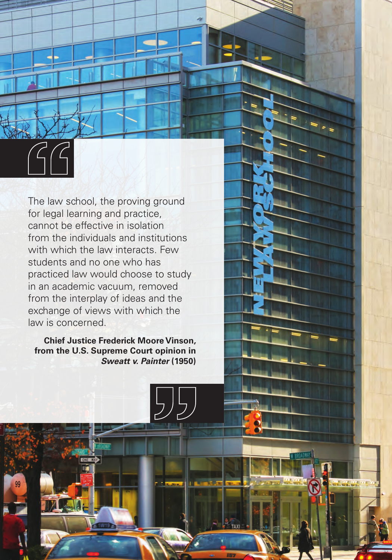The law school, the proving ground for legal learning and practice, cannot be effective in isolation from the individuals and institutions with which the law interacts. Few students and no one who has practiced law would choose to study in an academic vacuum, removed from the interplay of ideas and the exchange of views with which the law is concerned.

**Chief Justice Frederick Moore Vinson, from the U.S. Supreme Court opinion in**  *Sweatt v. Painter* **(1950)**

55,

**ATL TEL ITE**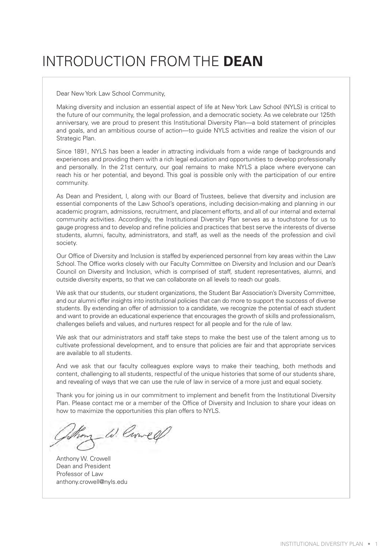## INTRODUCTION from the **dean**

Dear New York Law School Community,

Making diversity and inclusion an essential aspect of life at New York Law School (NYLS) is critical to the future of our community, the legal profession, and a democratic society. As we celebrate our 125th anniversary, we are proud to present this Institutional Diversity Plan—a bold statement of principles and goals, and an ambitious course of action—to guide NYLS activities and realize the vision of our Strategic Plan.

Since 1891, NYLS has been a leader in attracting individuals from a wide range of backgrounds and experiences and providing them with a rich legal education and opportunities to develop professionally and personally. In the 21st century, our goal remains to make NYLS a place where everyone can reach his or her potential, and beyond. This goal is possible only with the participation of our entire community.

As Dean and President, I, along with our Board of Trustees, believe that diversity and inclusion are essential components of the Law School's operations, including decision-making and planning in our academic program, admissions, recruitment, and placement efforts, and all of our internal and external community activities. Accordingly, the Institutional Diversity Plan serves as a touchstone for us to gauge progress and to develop and refine policies and practices that best serve the interests of diverse students, alumni, faculty, administrators, and staff, as well as the needs of the profession and civil society.

Our Office of Diversity and Inclusion is staffed by experienced personnel from key areas within the Law School. The Office works closely with our Faculty Committee on Diversity and Inclusion and our Dean's Council on Diversity and Inclusion, which is comprised of staff, student representatives, alumni, and outside diversity experts, so that we can collaborate on all levels to reach our goals.

We ask that our students, our student organizations, the Student Bar Association's Diversity Committee, and our alumni offer insights into institutional policies that can do more to support the success of diverse students. By extending an offer of admission to a candidate, we recognize the potential of each student and want to provide an educational experience that encourages the growth of skills and professionalism, challenges beliefs and values, and nurtures respect for all people and for the rule of law.

We ask that our administrators and staff take steps to make the best use of the talent among us to cultivate professional development, and to ensure that policies are fair and that appropriate services are available to all students.

And we ask that our faculty colleagues explore ways to make their teaching, both methods and content, challenging to all students, respectful of the unique histories that some of our students share, and revealing of ways that we can use the rule of law in service of a more just and equal society.

Thank you for joining us in our commitment to implement and benefit from the Institutional Diversity Plan. Please contact me or a member of the Office of Diversity and Inclusion to share your ideas on how to maximize the opportunities this plan offers to NYLS.

om W. Crowe OL

Anthony W. Crowell Dean and President Professor of Law anthony.crowell@nyls.edu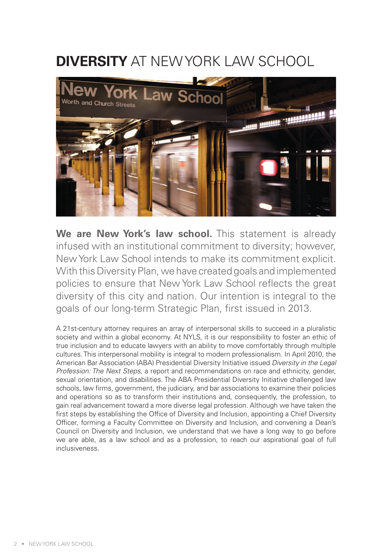# **Diversity** at New York Law School



We are New York's law school. This statement is already infused with an institutional commitment to diversity; however, New York Law School intends to make its commitment explicit. With this Diversity Plan, we have created goals and implemented policies to ensure that New York Law School reflects the great diversity of this city and nation. Our intention is integral to the goals of our long-term Strategic Plan, first issued in 2013.

A 21st-century attorney requires an array of interpersonal skills to succeed in a pluralistic society and within a global economy. At NYLS, it is our responsibility to foster an ethic of true inclusion and to educate lawyers with an ability to move comfortably through multiple cultures. This interpersonal mobility is integral to modern professionalism. In April 2010, the American Bar Association (ABA) Presidential Diversity Initiative issued *Diversity in the Legal Profession: The Next Steps*, a report and recommendations on race and ethnicity, gender, sexual orientation, and disabilities. The ABA Presidential Diversity Initiative challenged law schools, law firms, government, the judiciary, and bar associations to examine their policies and operations so as to transform their institutions and, consequently, the profession, to gain real advancement toward a more diverse legal profession. Although we have taken the first steps by establishing the Office of Diversity and Inclusion, appointing a Chief Diversity Officer, forming a Faculty Committee on Diversity and Inclusion, and convening a Dean's Council on Diversity and Inclusion, we understand that we have a long way to go before we are able, as a law school and as a profession, to reach our aspirational goal of full inclusiveness.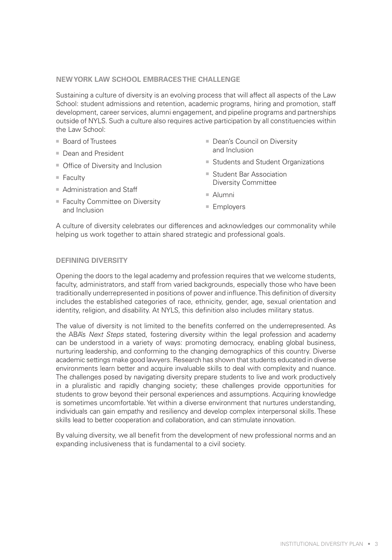### **NEW YORK LAW SCHOOL EMBRACESTHE CHALLENGE**

Sustaining a culture of diversity is an evolving process that will affect all aspects of the Law School: student admissions and retention, academic programs, hiring and promotion, staff development, career services, alumni engagement, and pipeline programs and partnerships outside of NYLS. Such a culture also requires active participation by all constituencies within the Law School:

- Board of Trustees
- Dean and President
- Office of Diversity and Inclusion
- $=$  Faculty
- $\blacksquare$  Administration and Staff
- Faculty Committee on Diversity and Inclusion
- Dean's Council on Diversity and Inclusion
- Students and Student Organizations
- Student Bar Association Diversity Committee
- $A$ lumni
	- $E$  Employers

A culture of diversity celebrates our differences and acknowledges our commonality while helping us work together to attain shared strategic and professional goals.

### **Defining Diversity**

Opening the doors to the legal academy and profession requires that we welcome students, faculty, administrators, and staff from varied backgrounds, especially those who have been traditionally underrepresented in positions of power and influence. This definition of diversity includes the established categories of race, ethnicity, gender, age, sexual orientation and identity, religion, and disability. At NYLS, this definition also includes military status.

The value of diversity is not limited to the benefits conferred on the underrepresented. As the ABA's *Next Steps* stated, fostering diversity within the legal profession and academy can be understood in a variety of ways: promoting democracy, enabling global business, nurturing leadership, and conforming to the changing demographics of this country. Diverse academic settings make good lawyers. Research has shown that students educated in diverse environments learn better and acquire invaluable skills to deal with complexity and nuance. The challenges posed by navigating diversity prepare students to live and work productively in a pluralistic and rapidly changing society; these challenges provide opportunities for students to grow beyond their personal experiences and assumptions. Acquiring knowledge is sometimes uncomfortable. Yet within a diverse environment that nurtures understanding, individuals can gain empathy and resiliency and develop complex interpersonal skills. These skills lead to better cooperation and collaboration, and can stimulate innovation.

By valuing diversity, we all benefit from the development of new professional norms and an expanding inclusiveness that is fundamental to a civil society.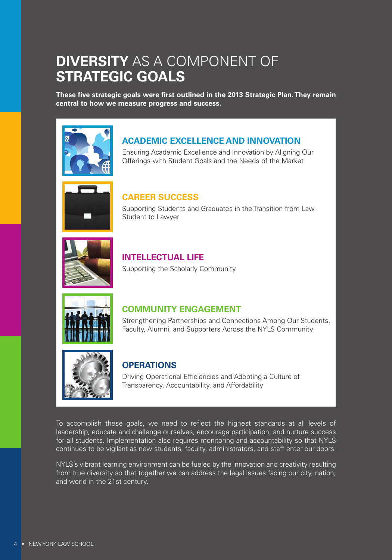### **Diversity** as a Component of **Strategic Goals**

**These five strategic goals were first outlined in the 2013 Strategic Plan. They remain central to how we measure progress and success.**



### **Academic Excellence and Innovation**

Ensuring Academic Excellence and Innovation by Aligning Our Offerings with Student Goals and the Needs of the Market



### **Career Success**

Supporting Students and Graduates in the Transition from Law Student to Lawyer



### **Intellectual Life** Supporting the Scholarly Community



### **Community Engagement**

Strengthening Partnerships and Connections Among Our Students, Faculty, Alumni, and Supporters Across the NYLS Community



### **Operations**

Driving Operational Efficiencies and Adopting a Culture of Transparency, Accountability, and Affordability

To accomplish these goals, we need to reflect the highest standards at all levels of leadership, educate and challenge ourselves, encourage participation, and nurture success for all students. Implementation also requires monitoring and accountability so that NYLS continues to be vigilant as new students, faculty, administrators, and staff enter our doors.

NYLS's vibrant learning environment can be fueled by the innovation and creativity resulting from true diversity so that together we can address the legal issues facing our city, nation, and world in the 21st century.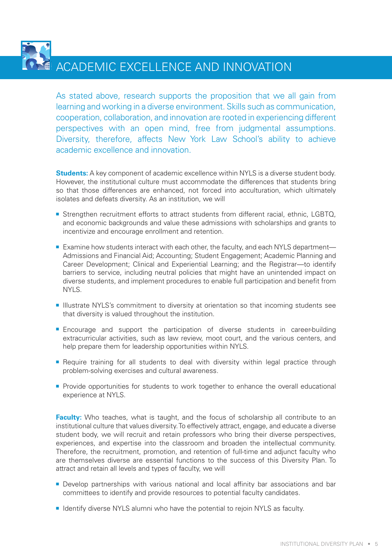Academic excellence and innovation

As stated above, research supports the proposition that we all gain from learning and working in a diverse environment. Skills such as communication, cooperation, collaboration, and innovation are rooted in experiencing different perspectives with an open mind, free from judgmental assumptions. Diversity, therefore, affects New York Law School's ability to achieve academic excellence and innovation.

**Students:** A key component of academic excellence within NYLS is a diverse student body. However, the institutional culture must accommodate the differences that students bring so that those differences are enhanced, not forced into acculturation, which ultimately isolates and defeats diversity. As an institution, we will

- **EXTERGHERIM** Strengthen recruitment efforts to attract students from different racial, ethnic, LGBTQ, and economic backgrounds and value these admissions with scholarships and grants to incentivize and encourage enrollment and retention.
- Examine how students interact with each other, the faculty, and each NYLS department— Admissions and Financial Aid; Accounting; Student Engagement; Academic Planning and Career Development; Clinical and Experiential Learning; and the Registrar—to identify barriers to service, including neutral policies that might have an unintended impact on diverse students, and implement procedures to enable full participation and benefit from NYLS.
- **Illustrate NYLS's commitment to diversity at orientation so that incoming students see** that diversity is valued throughout the institution.
- **Encourage and support the participation of diverse students in career-building** extracurricular activities, such as law review, moot court, and the various centers, and help prepare them for leadership opportunities within NYLS.
- **•** Require training for all students to deal with diversity within legal practice through problem-solving exercises and cultural awareness.
- **Provide opportunities for students to work together to enhance the overall educational** experience at NYLS.

**Faculty:** Who teaches, what is taught, and the focus of scholarship all contribute to an institutional culture that values diversity. To effectively attract, engage, and educate a diverse student body, we will recruit and retain professors who bring their diverse perspectives, experiences, and expertise into the classroom and broaden the intellectual community. Therefore, the recruitment, promotion, and retention of full-time and adjunct faculty who are themselves diverse are essential functions to the success of this Diversity Plan. To attract and retain all levels and types of faculty, we will

- **Develop partnerships with various national and local affinity bar associations and bar** committees to identify and provide resources to potential faculty candidates.
- **I** Identify diverse NYLS alumni who have the potential to rejoin NYLS as faculty.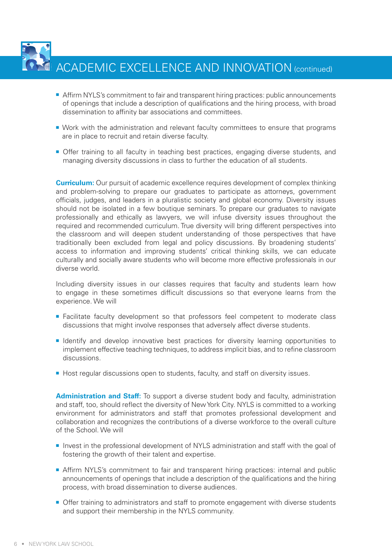ACADEMIC EXCELLENCE AND INNOVATION (continued)

- **F** Affirm NYLS's commitment to fair and transparent hiring practices: public announcements of openings that include a description of qualifications and the hiring process, with broad dissemination to affinity bar associations and committees.
- **Work with the administration and relevant faculty committees to ensure that programs** are in place to recruit and retain diverse faculty.
- **Offer training to all faculty in teaching best practices, engaging diverse students, and** managing diversity discussions in class to further the education of all students.

**Curriculum:** Our pursuit of academic excellence requires development of complex thinking and problem-solving to prepare our graduates to participate as attorneys, government officials, judges, and leaders in a pluralistic society and global economy. Diversity issues should not be isolated in a few boutique seminars. To prepare our graduates to navigate professionally and ethically as lawyers, we will infuse diversity issues throughout the required and recommended curriculum. True diversity will bring different perspectives into the classroom and will deepen student understanding of those perspectives that have traditionally been excluded from legal and policy discussions. By broadening students' access to information and improving students' critical thinking skills, we can educate culturally and socially aware students who will become more effective professionals in our diverse world.

Including diversity issues in our classes requires that faculty and students learn how to engage in these sometimes difficult discussions so that everyone learns from the experience. We will

- **Example Facilitate faculty development so that professors feel competent to moderate class** discussions that might involve responses that adversely affect diverse students.
- **n** Identify and develop innovative best practices for diversity learning opportunities to implement effective teaching techniques, to address implicit bias, and to refine classroom discussions.
- **Host regular discussions open to students, faculty, and staff on diversity issues.**

**Administration and Staff:** To support a diverse student body and faculty, administration and staff, too, should reflect the diversity of New York City. NYLS is committed to a working environment for administrators and staff that promotes professional development and collaboration and recognizes the contributions of a diverse workforce to the overall culture of the School. We will

- **n** Invest in the professional development of NYLS administration and staff with the goal of fostering the growth of their talent and expertise.
- **Affirm NYLS's commitment to fair and transparent hiring practices: internal and public** announcements of openings that include a description of the qualifications and the hiring process, with broad dissemination to diverse audiences.
- **Offer training to administrators and staff to promote engagement with diverse students** and support their membership in the NYLS community.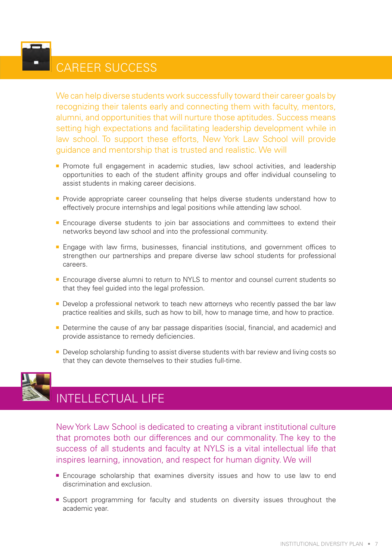### Career Success

We can help diverse students work successfully toward their career goals by recognizing their talents early and connecting them with faculty, mentors, alumni, and opportunities that will nurture those aptitudes. Success means setting high expectations and facilitating leadership development while in law school. To support these efforts, New York Law School will provide guidance and mentorship that is trusted and realistic. We will

- **Promote full engagement in academic studies, law school activities, and leadership** opportunities to each of the student affinity groups and offer individual counseling to assist students in making career decisions.
- **•** Provide appropriate career counseling that helps diverse students understand how to effectively procure internships and legal positions while attending law school.
- **Encourage diverse students to join bar associations and committees to extend their** networks beyond law school and into the professional community.
- **Engage with law firms, businesses, financial institutions, and government offices to** strengthen our partnerships and prepare diverse law school students for professional careers.
- **E** Encourage diverse alumni to return to NYLS to mentor and counsel current students so that they feel guided into the legal profession.
- **Develop a professional network to teach new attorneys who recently passed the bar law** practice realities and skills, such as how to bill, how to manage time, and how to practice.
- **Determine the cause of any bar passage disparities (social, financial, and academic) and** provide assistance to remedy deficiencies.
- **Develop scholarship funding to assist diverse students with bar review and living costs so** that they can devote themselves to their studies full-time.



### Intellectual Life

New York Law School is dedicated to creating a vibrant institutional culture that promotes both our differences and our commonality. The key to the success of all students and faculty at NYLS is a vital intellectual life that inspires learning, innovation, and respect for human dignity. We will

- **Encourage scholarship that examines diversity issues and how to use law to end** discrimination and exclusion.
- **E** Support programming for faculty and students on diversity issues throughout the academic year.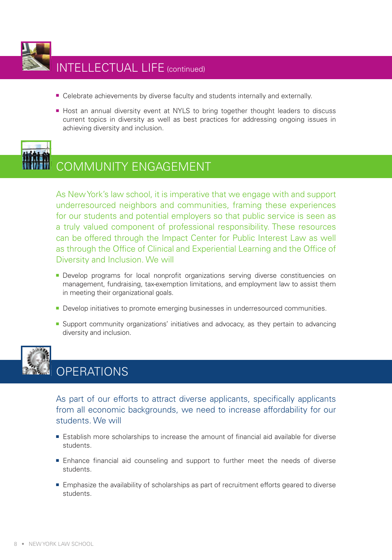

- **E** Celebrate achievements by diverse faculty and students internally and externally.
- **Host an annual diversity event at NYLS to bring together thought leaders to discuss** current topics in diversity as well as best practices for addressing ongoing issues in achieving diversity and inclusion.



### Community Engagement

As New York's law school, it is imperative that we engage with and support underresourced neighbors and communities, framing these experiences for our students and potential employers so that public service is seen as a truly valued component of professional responsibility. These resources can be offered through the Impact Center for Public Interest Law as well as through the Office of Clinical and Experiential Learning and the Office of Diversity and Inclusion. We will

- **-** Develop programs for local nonprofit organizations serving diverse constituencies on management, fundraising, tax-exemption limitations, and employment law to assist them in meeting their organizational goals.
- **Develop initiatives to promote emerging businesses in underresourced communities.**
- **E** Support community organizations' initiatives and advocacy, as they pertain to advancing diversity and inclusion.



### **OPERATIONS**

As part of our efforts to attract diverse applicants, specifically applicants from all economic backgrounds, we need to increase affordability for our students. We will

- **Establish more scholarships to increase the amount of financial aid available for diverse** students.
- **Enhance financial aid counseling and support to further meet the needs of diverse** students.
- **Emphasize the availability of scholarships as part of recruitment efforts geared to diverse** students.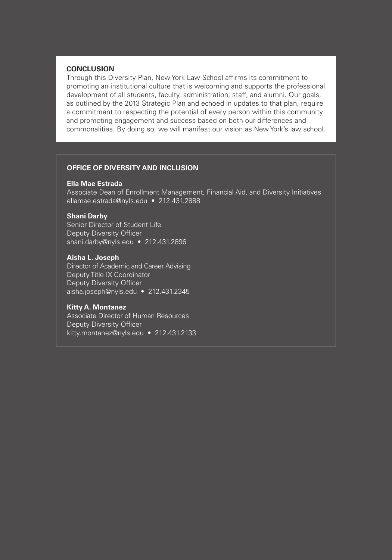### **Conclusion**

Through this Diversity Plan, New York Law School affirms its commitment to promoting an institutional culture that is welcoming and supports the professional development of all students, faculty, administration, staff, and alumni. Our goals, as outlined by the 2013 Strategic Plan and echoed in updates to that plan, require a commitment to respecting the potential of every person within this community and promoting engagement and success based on both our differences and commonalities. By doing so, we will manifest our vision as New York's law school.

### **Office of Diversity and Inclusion**

#### **Ella Mae Estrada**

Associate Dean of Enrollment Management, Financial Aid, and Diversity Initiatives ellamae.estrada@nyls.edu • 212.431.2888

#### **Shani Darby**

Senior Director of Student Life Deputy Diversity Officer shani.darby@nyls.edu • 212.431.2896

### **Aisha L. Joseph**

Director of Academic and Career Advising Deputy Title IX Coordinator Deputy Diversity Officer aisha.joseph@nyls.edu • 212.431.2345

#### **Kitty A. Montanez**

Associate Director of Human Resources Deputy Diversity Officer kitty.montanez@nyls.edu • 212.431.2133